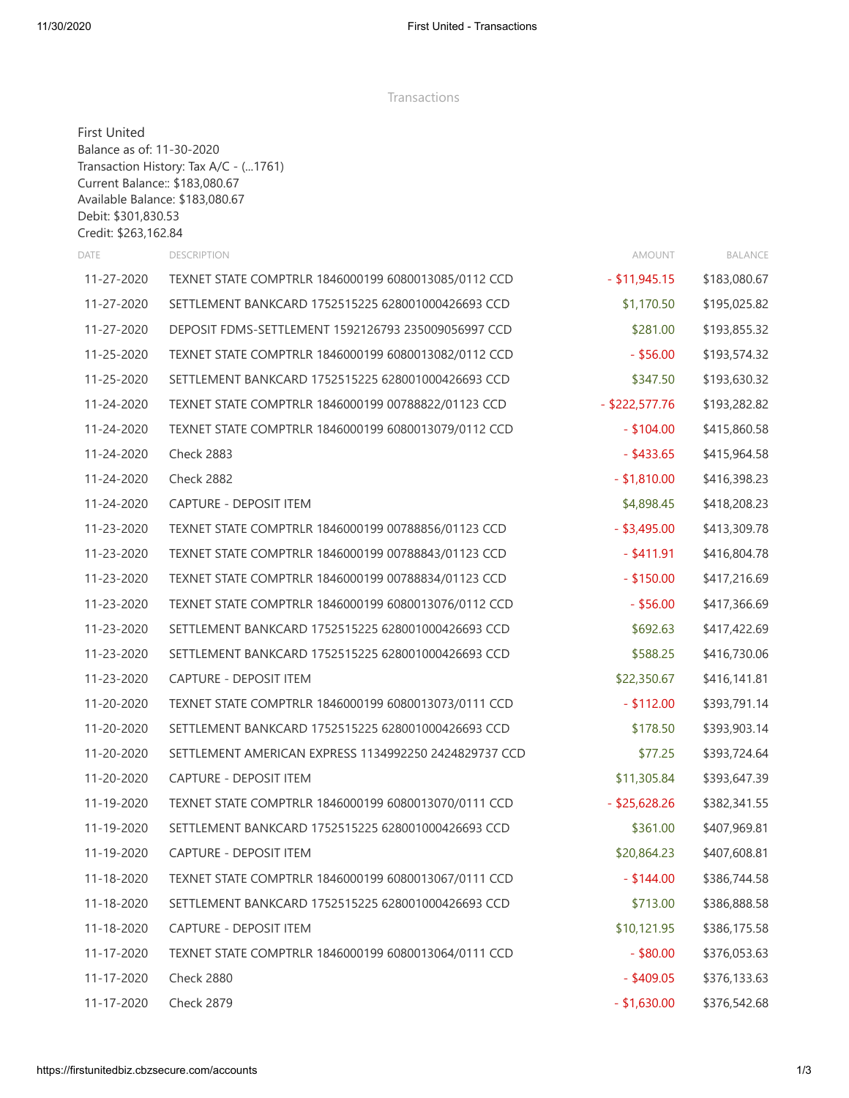Transactions

| <b>First United</b><br>Balance as of: 11-30-2020<br>Debit: \$301,830.53<br>Credit: \$263,162.84 | Transaction History: Tax A/C - (1761)<br>Current Balance:: \$183,080.67<br>Available Balance: \$183,080.67 |                  |              |
|-------------------------------------------------------------------------------------------------|------------------------------------------------------------------------------------------------------------|------------------|--------------|
| <b>DATE</b>                                                                                     | <b>DESCRIPTION</b>                                                                                         | AMOUNT           | BALANCE      |
| 11-27-2020                                                                                      | TEXNET STATE COMPTRLR 1846000199 6080013085/0112 CCD                                                       | $-$ \$11,945.15  | \$183,080.67 |
| 11-27-2020                                                                                      | SETTLEMENT BANKCARD 1752515225 628001000426693 CCD                                                         | \$1,170.50       | \$195,025.82 |
| 11-27-2020                                                                                      | DEPOSIT FDMS-SETTLEMENT 1592126793 235009056997 CCD                                                        | \$281.00         | \$193,855.32 |
| 11-25-2020                                                                                      | TEXNET STATE COMPTRLR 1846000199 6080013082/0112 CCD                                                       | $-$ \$56.00      | \$193,574.32 |
| 11-25-2020                                                                                      | SETTLEMENT BANKCARD 1752515225 628001000426693 CCD                                                         | \$347.50         | \$193,630.32 |
| 11-24-2020                                                                                      | TEXNET STATE COMPTRLR 1846000199 00788822/01123 CCD                                                        | $-$ \$222,577.76 | \$193,282.82 |
| 11-24-2020                                                                                      | TEXNET STATE COMPTRLR 1846000199 6080013079/0112 CCD                                                       | $-$ \$104.00     | \$415,860.58 |
| 11-24-2020                                                                                      | <b>Check 2883</b>                                                                                          | $-$ \$433.65     | \$415,964.58 |
| 11-24-2020                                                                                      | <b>Check 2882</b>                                                                                          | $-$ \$1,810.00   | \$416,398.23 |
| 11-24-2020                                                                                      | <b>CAPTURE - DEPOSIT ITEM</b>                                                                              | \$4,898.45       | \$418,208.23 |
| 11-23-2020                                                                                      | TEXNET STATE COMPTRLR 1846000199 00788856/01123 CCD                                                        | $-$ \$3,495.00   | \$413,309.78 |
| 11-23-2020                                                                                      | TEXNET STATE COMPTRLR 1846000199 00788843/01123 CCD                                                        | $-$ \$411.91     | \$416,804.78 |
| 11-23-2020                                                                                      | TEXNET STATE COMPTRLR 1846000199 00788834/01123 CCD                                                        | $-$ \$150.00     | \$417,216.69 |
| 11-23-2020                                                                                      | TEXNET STATE COMPTRLR 1846000199 6080013076/0112 CCD                                                       | $-$ \$56.00      | \$417,366.69 |
| 11-23-2020                                                                                      | SETTLEMENT BANKCARD 1752515225 628001000426693 CCD                                                         | \$692.63         | \$417,422.69 |
| 11-23-2020                                                                                      | SETTLEMENT BANKCARD 1752515225 628001000426693 CCD                                                         | \$588.25         | \$416,730.06 |
| 11-23-2020                                                                                      | <b>CAPTURE - DEPOSIT ITEM</b>                                                                              | \$22,350.67      | \$416,141.81 |
| 11-20-2020                                                                                      | TEXNET STATE COMPTRLR 1846000199 6080013073/0111 CCD                                                       | $-$ \$112.00     | \$393,791.14 |
| 11-20-2020                                                                                      | SETTLEMENT BANKCARD 1752515225 628001000426693 CCD                                                         | \$178.50         | \$393,903.14 |
| 11-20-2020                                                                                      | SETTLEMENT AMERICAN EXPRESS 1134992250 2424829737 CCD                                                      | \$77.25          | \$393,724.64 |
| 11-20-2020                                                                                      | <b>CAPTURE - DEPOSIT ITEM</b>                                                                              | \$11,305.84      | \$393,647.39 |
| 11-19-2020                                                                                      | TEXNET STATE COMPTRLR 1846000199 6080013070/0111 CCD                                                       | $-$ \$25,628.26  | \$382,341.55 |
| 11-19-2020                                                                                      | SETTLEMENT BANKCARD 1752515225 628001000426693 CCD                                                         | \$361.00         | \$407,969.81 |
| 11-19-2020                                                                                      | CAPTURE - DEPOSIT ITEM                                                                                     | \$20,864.23      | \$407,608.81 |
| 11-18-2020                                                                                      | TEXNET STATE COMPTRLR 1846000199 6080013067/0111 CCD                                                       | $-$ \$144.00     | \$386,744.58 |
| 11-18-2020                                                                                      | SETTLEMENT BANKCARD 1752515225 628001000426693 CCD                                                         | \$713.00         | \$386,888.58 |
| 11-18-2020                                                                                      | <b>CAPTURE - DEPOSIT ITEM</b>                                                                              | \$10,121.95      | \$386,175.58 |
| 11-17-2020                                                                                      | TEXNET STATE COMPTRLR 1846000199 6080013064/0111 CCD                                                       | $-$ \$80.00      | \$376,053.63 |
| 11-17-2020                                                                                      | <b>Check 2880</b>                                                                                          | $-$ \$409.05     | \$376,133.63 |
| 11-17-2020                                                                                      | Check 2879                                                                                                 | $-$ \$1,630.00   | \$376,542.68 |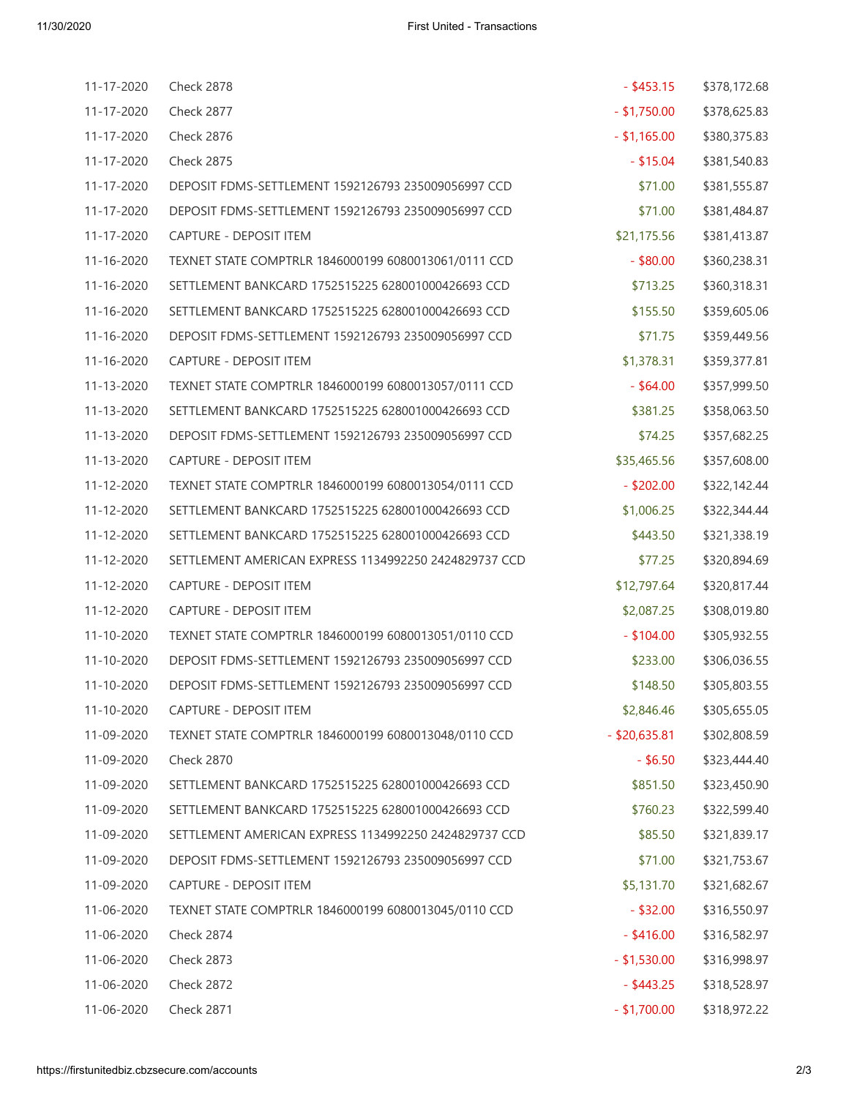| 11-17-2020 | <b>Check 2878</b>                                     | $-$ \$453.15    | \$378,172.68 |
|------------|-------------------------------------------------------|-----------------|--------------|
| 11-17-2020 | <b>Check 2877</b>                                     | $-$ \$1,750.00  | \$378,625.83 |
| 11-17-2020 | <b>Check 2876</b>                                     | $-$ \$1,165.00  | \$380,375.83 |
| 11-17-2020 | <b>Check 2875</b>                                     | $-$ \$15.04     | \$381,540.83 |
| 11-17-2020 | DEPOSIT FDMS-SETTLEMENT 1592126793 235009056997 CCD   | \$71.00         | \$381,555.87 |
| 11-17-2020 | DEPOSIT FDMS-SETTLEMENT 1592126793 235009056997 CCD   | \$71.00         | \$381,484.87 |
| 11-17-2020 | CAPTURE - DEPOSIT ITEM                                | \$21,175.56     | \$381,413.87 |
| 11-16-2020 | TEXNET STATE COMPTRLR 1846000199 6080013061/0111 CCD  | $-$ \$80.00     | \$360,238.31 |
| 11-16-2020 | SETTLEMENT BANKCARD 1752515225 628001000426693 CCD    | \$713.25        | \$360,318.31 |
| 11-16-2020 | SETTLEMENT BANKCARD 1752515225 628001000426693 CCD    | \$155.50        | \$359,605.06 |
| 11-16-2020 | DEPOSIT FDMS-SETTLEMENT 1592126793 235009056997 CCD   | \$71.75         | \$359,449.56 |
| 11-16-2020 | CAPTURE - DEPOSIT ITEM                                | \$1,378.31      | \$359,377.81 |
| 11-13-2020 | TEXNET STATE COMPTRLR 1846000199 6080013057/0111 CCD  | $-$ \$64.00     | \$357,999.50 |
| 11-13-2020 | SETTLEMENT BANKCARD 1752515225 628001000426693 CCD    | \$381.25        | \$358,063.50 |
| 11-13-2020 | DEPOSIT FDMS-SETTLEMENT 1592126793 235009056997 CCD   | \$74.25         | \$357,682.25 |
| 11-13-2020 | CAPTURE - DEPOSIT ITEM                                | \$35,465.56     | \$357,608.00 |
| 11-12-2020 | TEXNET STATE COMPTRLR 1846000199 6080013054/0111 CCD  | $-$ \$202.00    | \$322,142.44 |
| 11-12-2020 | SETTLEMENT BANKCARD 1752515225 628001000426693 CCD    | \$1,006.25      | \$322,344.44 |
| 11-12-2020 | SETTLEMENT BANKCARD 1752515225 628001000426693 CCD    | \$443.50        | \$321,338.19 |
| 11-12-2020 | SETTLEMENT AMERICAN EXPRESS 1134992250 2424829737 CCD | \$77.25         | \$320,894.69 |
| 11-12-2020 | CAPTURE - DEPOSIT ITEM                                | \$12,797.64     | \$320,817.44 |
| 11-12-2020 | <b>CAPTURE - DEPOSIT ITEM</b>                         | \$2,087.25      | \$308,019.80 |
| 11-10-2020 | TEXNET STATE COMPTRLR 1846000199 6080013051/0110 CCD  | $-$ \$104.00    | \$305,932.55 |
| 11-10-2020 | DEPOSIT FDMS-SETTLEMENT 1592126793 235009056997 CCD   | \$233.00        | \$306,036.55 |
| 11-10-2020 | DEPOSIT FDMS-SETTLEMENT 1592126793 235009056997 CCD   | \$148.50        | \$305,803.55 |
| 11-10-2020 | <b>CAPTURE - DEPOSIT ITEM</b>                         | \$2,846.46      | \$305,655.05 |
| 11-09-2020 | TEXNET STATE COMPTRLR 1846000199 6080013048/0110 CCD  | $-$ \$20,635.81 | \$302,808.59 |
| 11-09-2020 | <b>Check 2870</b>                                     | $-$ \$6.50      | \$323,444.40 |
| 11-09-2020 | SETTLEMENT BANKCARD 1752515225 628001000426693 CCD    | \$851.50        | \$323,450.90 |
| 11-09-2020 | SETTLEMENT BANKCARD 1752515225 628001000426693 CCD    | \$760.23        | \$322,599.40 |
| 11-09-2020 | SETTLEMENT AMERICAN EXPRESS 1134992250 2424829737 CCD | \$85.50         | \$321,839.17 |
| 11-09-2020 | DEPOSIT FDMS-SETTLEMENT 1592126793 235009056997 CCD   | \$71.00         | \$321,753.67 |
| 11-09-2020 | <b>CAPTURE - DEPOSIT ITEM</b>                         | \$5,131.70      | \$321,682.67 |
| 11-06-2020 | TEXNET STATE COMPTRLR 1846000199 6080013045/0110 CCD  | $-$ \$32.00     | \$316,550.97 |
| 11-06-2020 | <b>Check 2874</b>                                     | $-$ \$416.00    | \$316,582.97 |
| 11-06-2020 | Check 2873                                            | $-$ \$1,530.00  | \$316,998.97 |
| 11-06-2020 | <b>Check 2872</b>                                     | $-$ \$443.25    | \$318,528.97 |
| 11-06-2020 | Check 2871                                            | $-$ \$1,700.00  | \$318,972.22 |